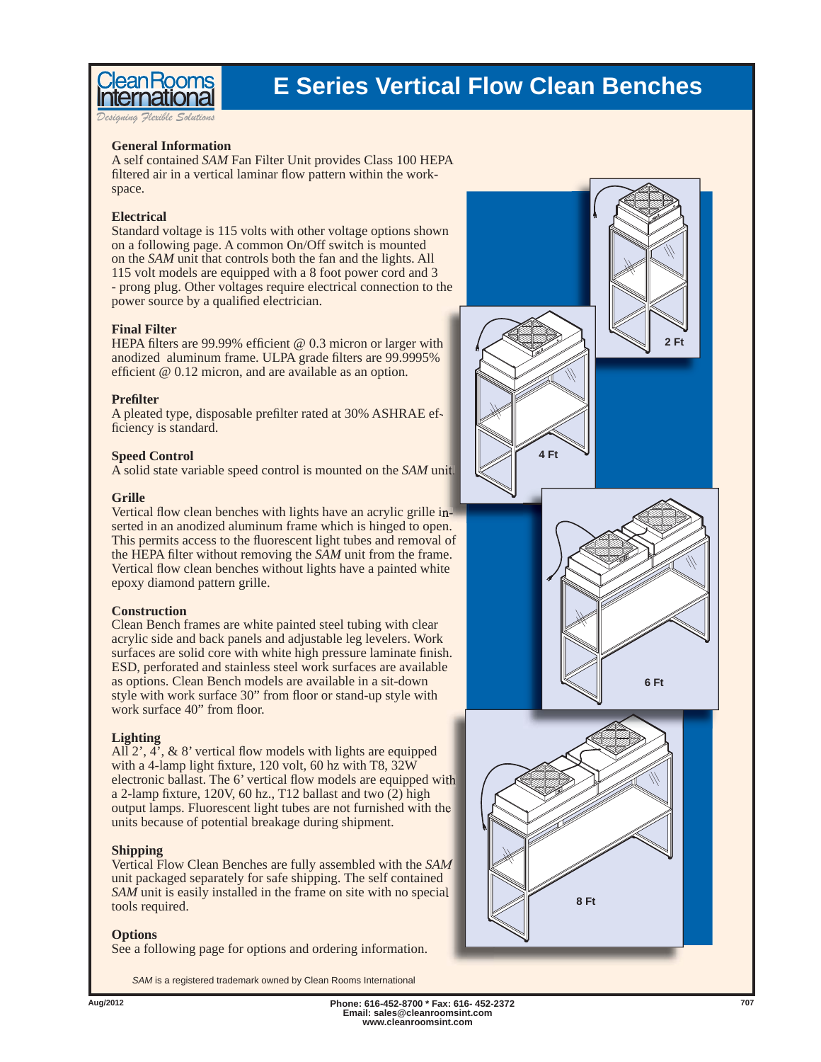

### **E Series Vertical Flow Clean Benches**

*Designing Flexible Solutions*

#### **General Information**

A self contained *SAM* Fan Filter Unit provides Class 100 HEPA filtered air in a vertical laminar flow pattern within the workspace.

#### **Electrical**

Standard voltage is 115 volts with other voltage options shown on a following page. A common On/Off switch is mounted on the *SAM* unit that controls both the fan and the lights. All 115 volt models are equipped with a 8 foot power cord and 3 - prong plug. Other voltages require electrical connection to the power source by a qualified electrician.

#### **Final Filter**

HEPA filters are 99.99% efficient  $@ 0.3$  micron or larger with anodized aluminum frame. ULPA grade filters are 99.9995% efficient  $@0.12$  micron, and are available as an option.

#### **Prefi lter**

A pleated type, disposable prefilter rated at 30% ASHRAE efficiency is standard.

#### **Speed Control**

A solid state variable speed control is mounted on the *SAM* unit.

#### **Grille**

Vertical flow clean benches with lights have an acrylic grille inserted in an anodized aluminum frame which is hinged to open. This permits access to the fluorescent light tubes and removal of the HEPA filter without removing the *SAM* unit from the frame. Vertical flow clean benches without lights have a painted white epoxy diamond pattern grille.

#### **Construction**

Clean Bench frames are white painted steel tubing with clear acrylic side and back panels and adjustable leg levelers. Work surfaces are solid core with white high pressure laminate finish. ESD, perforated and stainless steel work surfaces are available as options. Clean Bench models are available in a sit-down style with work surface 30" from floor or stand-up style with work surface 40" from floor.

#### **Lighting**

All  $2^{\prime}$ ,  $4^{\prime}$ , & 8' vertical flow models with lights are equipped with a 4-lamp light fixture, 120 volt, 60 hz with T8,  $32\hat{W}$ electronic ballast. The 6' vertical flow models are equipped with a 2-lamp fixture, 120V, 60 hz., T12 ballast and two  $(2)$  high output lamps. Fluorescent light tubes are not furnished with the units because of potential breakage during shipment.

#### **Shipping**

Vertical Flow Clean Benches are fully assembled with the *SAM* unit packaged separately for safe shipping. The self contained *SAM* unit is easily installed in the frame on site with no special tools required.

#### **Options**

See a following page for options and ordering information.

*SAM* is a registered trademark owned by Clean Rooms International